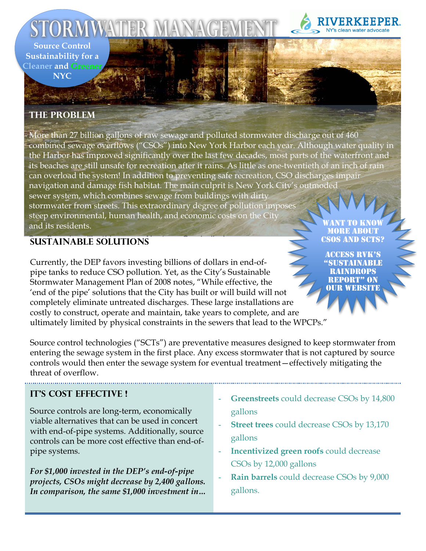**Source Control** Sustainability for a **Cleaner and Gree** 

**NYC** 

# **THE PROBLEM**

More than 27 billion gallons of raw sewage and polluted stormwater discharge out of 460 combined sewage overflows ("CSOs") into New York Harbor each year. Although water quality in the Harbor has improved significantly over the last few decades, most parts of the waterfront and its beaches are still unsafe for recreation after it rains. As little as one-twentieth of an inch of rain can overload the system! In addition to preventing safe recreation, CSO discharges impair navigation and damage fish habitat. The main culprit is New York City's outmoded sewer system, which combines sewage from buildings with dirty stormwater from streets. This extraordinary degree of pollution imposes steep environmental, human health, and economic costs on the City and its residents.

## **SUSTAINABLE SOLUTIONS**

Currently, the DEP favors investing billions of dollars in end-ofpipe tanks to reduce CSO pollution. Yet, as the City's Sustainable Stormwater Management Plan of 2008 notes, "While effective, the 'end of the pipe' solutions that the City has built or will build will not completely eliminate untreated discharges. These large installations are costly to construct, operate and maintain, take years to complete, and are ultimately limited by physical constraints in the sewers that lead to the WPCPs."

MORE AROUT **CSOS AND SCTS?** 

**ACCESS RVK'S** NDROPS **REPORT" ON OUR WEBSITE** 

Source control technologies ("SCTs") are preventative measures designed to keep stormwater from entering the sewage system in the first place. Any excess stormwater that is not captured by source controls would then enter the sewage system for eventual treatment-effectively mitigating the threat of overflow.

# **IT'S COST EFFECTIVE!**

Source controls are long-term, economically viable alternatives that can be used in concert with end-of-pipe systems. Additionally, source controls can be more cost effective than end-ofpipe systems.

For \$1,000 invested in the DEP's end-of-pipe projects, CSOs might decrease by 2,400 gallons. In comparison, the same \$1,000 investment in...

- **Greenstreets** could decrease CSOs by 14,800 gallons
- **Street trees** could decrease CSOs by 13,170 gallons
- **Incentivized green roofs could decrease** CSOs by 12,000 gallons
- Rain barrels could decrease CSOs by 9,000 gallons.